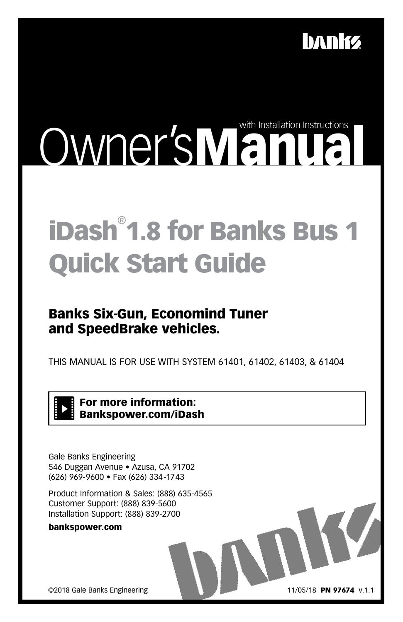

# Owner'sManual C

## iDash® 1.8 for Banks Bus 1 Quick Start Guide

### Banks Six-Gun, Economind Tuner and SpeedBrake vehicles.

THIS MANUAL IS FOR USE WITH SYSTEM 61401, 61402, 61403, & 61404

For more information: Bankspower.com/iDash

Gale Banks Engineering 546 Duggan Avenue • Azusa, CA 91702 (626) 969-9600 • Fax (626) 334-1743

Product Information & Sales: (888) 635-4565 Customer Support: (888) 839-5600 Installation Support: (888) 839-2700

```
bankspower.com
```
©2018 Gale Banks Engineering

11/05/18 PN 97674 v.1.1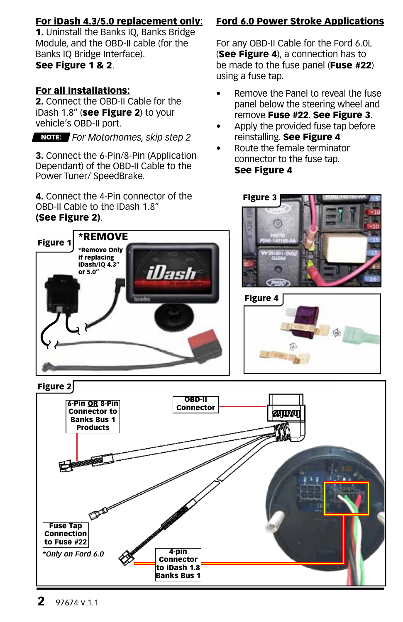### For iDash 4.3/5.0 replacement only:

1. Uninstall the Banks IQ, Banks Bridge Module, and the OBD-II cable (for the Banks IQ Bridge Interface). See Figure 1 & 2.

### For all installations:

2. Connect the OBD-II Cable for the iDash 1.8" (see Figure 2) to your vehicle's OBD-II port.

*For Motorhomes, skip step 2*

3. Connect the 6-Pin/8-Pin (Application Dependant) of the OBD-II Cable to the Power Tuner/ SpeedBrake.

4. Connect the 4-Pin connector of the OBD-II Cable to the iDash 1.8"

### (See Figure 2).

### Ford 6.0 Power Stroke Applications

For any OBD-II Cable for the Ford 6.0L (See Figure 4), a connection has to be made to the fuse panel (Fuse #22) using a fuse tap.

- Remove the Panel to reveal the fuse panel below the steering wheel and remove Fuse #22. See Figure 3.
- Apply the provided fuse tap before reinstalling. See Figure 4
- Route the female terminator connector to the fuse tap. See Figure 4









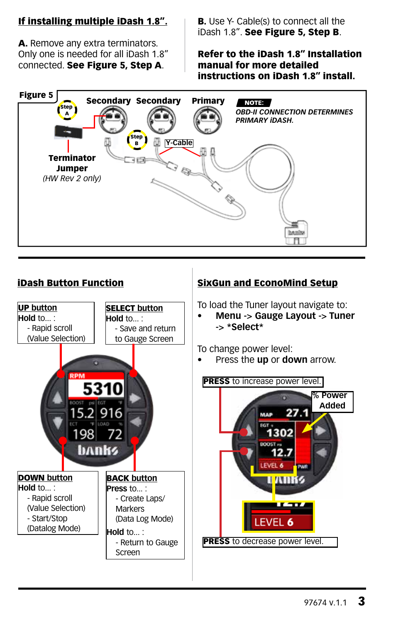### If installing multiple iDash 1.8".

A. Remove any extra terminators. Only one is needed for all iDash 1.8" connected. See Figure 5, Step A.

**B.** Use Y- Cable(s) to connect all the iDash 1.8". See Figure 5, Step B.

### Refer to the iDash 1.8" Installation manual for more detailed instructions on iDash 1.8" install.





### iDash Button Function SixGun and EconoMind Setup

To load the Tuner layout navigate to:

**• Menu -> Gauge Layout -> Tuner -> \*Select\***

To change power level:

• Press the **up** or **down** arrow.